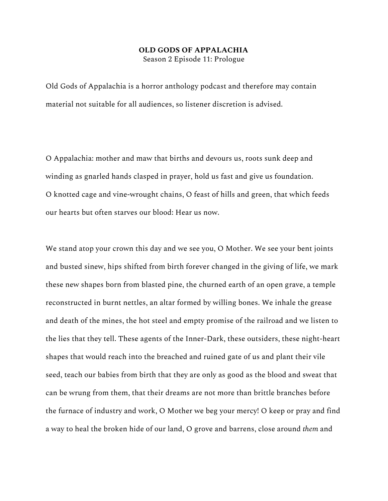## **OLD GODS OF APPALACHIA**

Season 2 Episode 11: Prologue

Old Gods of Appalachia is a horror anthology podcast and therefore may contain material not suitable for all audiences, so listener discretion is advised.

O Appalachia: mother and maw that births and devours us, roots sunk deep and winding as gnarled hands clasped in prayer, hold us fast and give us foundation. O knotted cage and vine-wrought chains, O feast of hills and green, that which feeds our hearts but often starves our blood: Hear us now.

We stand atop your crown this day and we see you, O Mother. We see your bent joints and busted sinew, hips shifted from birth forever changed in the giving of life, we mark these new shapes born from blasted pine, the churned earth of an open grave, a temple reconstructed in burnt nettles, an altar formed by willing bones. We inhale the grease and death of the mines, the hot steel and empty promise of the railroad and we listen to the lies that they tell. These agents of the Inner-Dark, these outsiders, these night-heart shapes that would reach into the breached and ruined gate of us and plant their vile seed, teach our babies from birth that they are only as good as the blood and sweat that can be wrung from them, that their dreams are not more than brittle branches before the furnace of industry and work, O Mother we beg your mercy! O keep or pray and find a way to heal the broken hide of our land, O grove and barrens, close around *them* and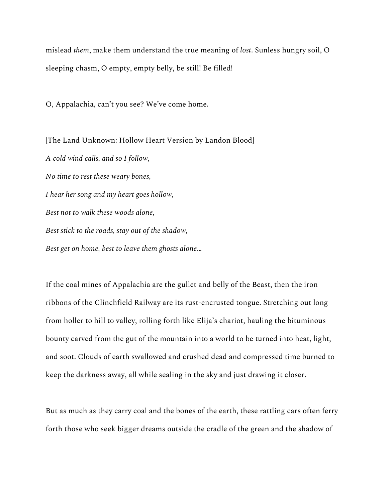mislead *them*, make them understand the true meaning of *lost*. Sunless hungry soil, O sleeping chasm, O empty, empty belly, be still! Be filled!

O, Appalachia, can't you see? We've come home.

[The Land Unknown: Hollow Heart Version by Landon Blood] *A cold wind calls, and so I follow, No time to rest these weary bones, I hear her song and my heart goes hollow, Best not to walk these woods alone, Best stick to the roads, stay out of the shadow, Best get on home, best to leave them ghosts alone*…

If the coal mines of Appalachia are the gullet and belly of the Beast, then the iron ribbons of the Clinchfield Railway are its rust-encrusted tongue. Stretching out long from holler to hill to valley, rolling forth like Elija's chariot, hauling the bituminous bounty carved from the gut of the mountain into a world to be turned into heat, light, and soot. Clouds of earth swallowed and crushed dead and compressed time burned to keep the darkness away, all while sealing in the sky and just drawing it closer.

But as much as they carry coal and the bones of the earth, these rattling cars often ferry forth those who seek bigger dreams outside the cradle of the green and the shadow of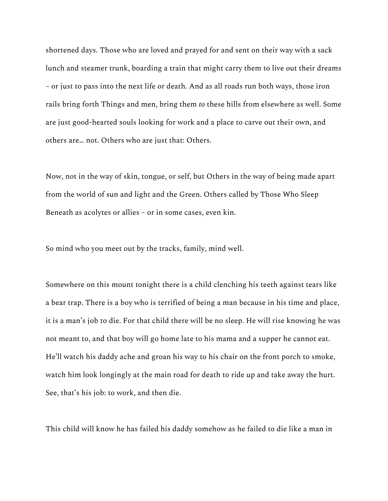shortened days. Those who are loved and prayed for and sent on their way with a sack lunch and steamer trunk, boarding a train that might carry them to live out their dreams – or just to pass into the next life or death. And as all roads run both ways, those iron rails bring forth Things and men, bring them *to* these hills from elsewhere as well. Some are just good-hearted souls looking for work and a place to carve out their own, and others are… not. Others who are just that: Others.

Now, not in the way of skin, tongue, or self, but Others in the way of being made apart from the world of sun and light and the Green. Others called by Those Who Sleep Beneath as acolytes or allies – or in some cases, even kin.

So mind who you meet out by the tracks, family, mind well.

Somewhere on this mount tonight there is a child clenching his teeth against tears like a bear trap. There is a boy who is terrified of being a man because in his time and place, it is a man's job to die. For that child there will be no sleep. He will rise knowing he was not meant to, and that boy will go home late to his mama and a supper he cannot eat. He'll watch his daddy ache and groan his way to his chair on the front porch to smoke, watch him look longingly at the main road for death to ride up and take away the hurt. See, that's his job: to work, and then die.

This child will know he has failed his daddy somehow as he failed to die like a man in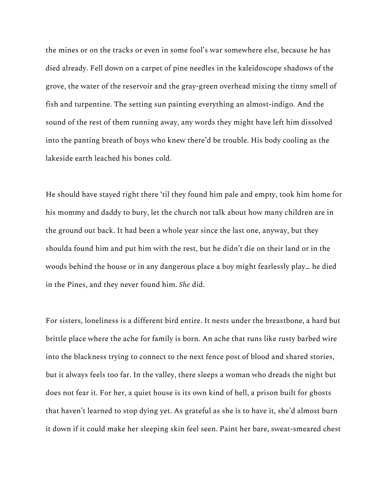the mines or on the tracks or even in some fool's war somewhere else, because he has died already. Fell down on a carpet of pine needles in the kaleidoscope shadows of the grove, the water of the reservoir and the gray-green overhead mixing the tinny smell of fish and turpentine. The setting sun painting everything an almost-indigo. And the sound of the rest of them running away, any words they might have left him dissolved into the panting breath of boys who knew there'd be trouble. His body cooling as the lakeside earth leached his bones cold.

He should have stayed right there 'til they found him pale and empty, took him home for his mommy and daddy to bury, let the church not talk about how many children are in the ground out back. It had been a whole year since the last one, anyway, but they shoulda found him and put him with the rest, but he didn't die on their land or in the woods behind the house or in any dangerous place a boy might fearlessly play… he died in the Pines, and they never found him. *She* did.

For sisters, loneliness is a different bird entire. It nests under the breastbone, a hard but brittle place where the ache for family is born. An ache that runs like rusty barbed wire into the blackness trying to connect to the next fence post of blood and shared stories, but it always feels too far. In the valley, there sleeps a woman who dreads the night but does not fear it. For her, a quiet house is its own kind of hell, a prison built for ghosts that haven't learned to stop dying yet. As grateful as she is to have it, she'd almost burn it down if it could make her sleeping skin feel seen. Paint her bare, sweat-smeared chest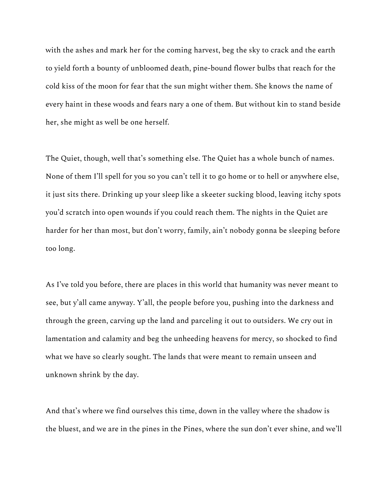with the ashes and mark her for the coming harvest, beg the sky to crack and the earth to yield forth a bounty of unbloomed death, pine-bound flower bulbs that reach for the cold kiss of the moon for fear that the sun might wither them. She knows the name of every haint in these woods and fears nary a one of them. But without kin to stand beside her, she might as well be one herself.

The Quiet, though, well that's something else. The Quiet has a whole bunch of names. None of them I'll spell for you so you can't tell it to go home or to hell or anywhere else, it just sits there. Drinking up your sleep like a skeeter sucking blood, leaving itchy spots you'd scratch into open wounds if you could reach them. The nights in the Quiet are harder for her than most, but don't worry, family, ain't nobody gonna be sleeping before too long.

As I've told you before, there are places in this world that humanity was never meant to see, but y'all came anyway. Y'all, the people before you, pushing into the darkness and through the green, carving up the land and parceling it out to outsiders. We cry out in lamentation and calamity and beg the unheeding heavens for mercy, so shocked to find what we have so clearly sought. The lands that were meant to remain unseen and unknown shrink by the day.

And that's where we find ourselves this time, down in the valley where the shadow is the bluest, and we are in the pines in the Pines, where the sun don't ever shine, and we'll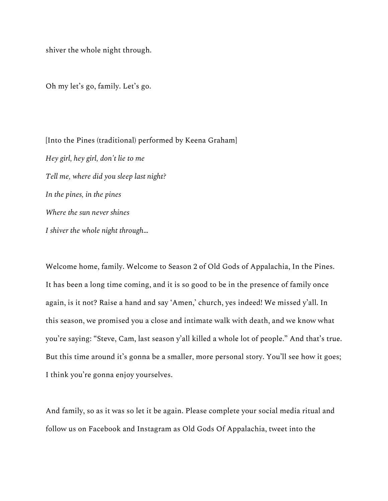shiver the whole night through.

Oh my let's go, family. Let's go.

[Into the Pines (traditional) performed by Keena Graham] *Hey girl, hey girl, don't lie to me Tell me, where did you sleep last night? In the pines, in the pines Where the sun never shines I shiver the whole night through*…

Welcome home, family. Welcome to Season 2 of Old Gods of Appalachia, In the Pines. It has been a long time coming, and it is so good to be in the presence of family once again, is it not? Raise a hand and say 'Amen,' church, yes indeed! We missed y'all. In this season, we promised you a close and intimate walk with death, and we know what you're saying: "Steve, Cam, last season y'all killed a whole lot of people." And that's true. But this time around it's gonna be a smaller, more personal story. You'll see how it goes; I think you're gonna enjoy yourselves.

And family, so as it was so let it be again. Please complete your social media ritual and follow us on Facebook and Instagram as Old Gods Of Appalachia, tweet into the